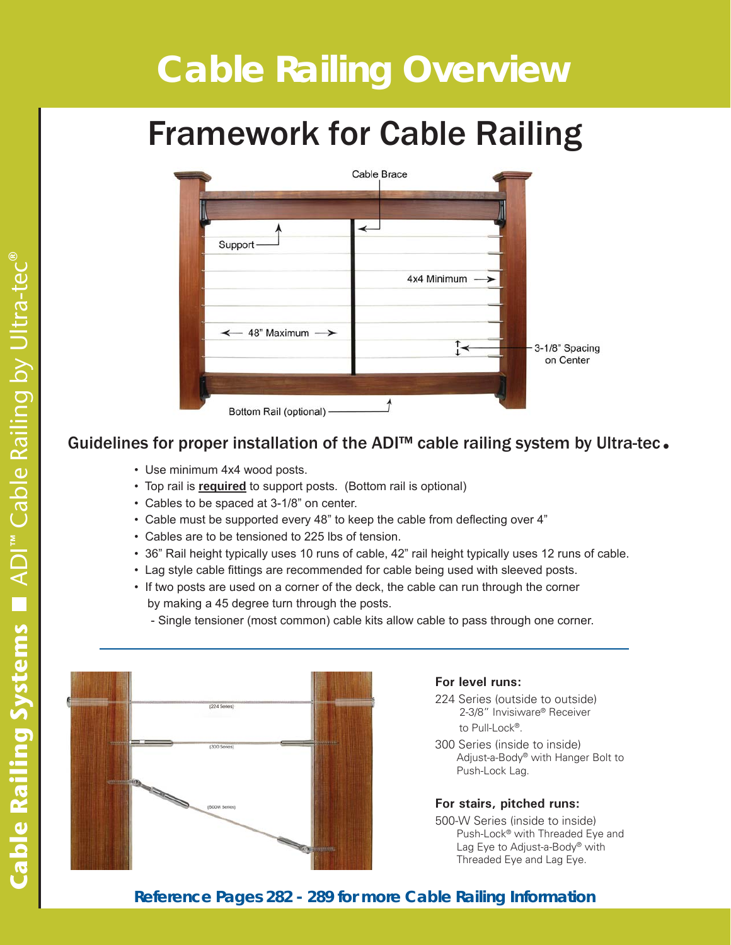# **Cable Railing Overview** *Cable Railing for Wood Railing Systems*

# Framework for Cable Railing



# Guidelines for proper installation of the ADI<sup>™</sup> cable railing system by Ultra-tec.

- Use minimum 4x4 wood posts.
- Top rail is **required** to support posts. (Bottom rail is optional)
- Cables to be spaced at 3-1/8" on center.
- \* Cable must be supported every 48" to keep the cable from deflecting over 4"
- Cables are to be tensioned to 225 lbs of tension.
- 36" Rail height typically uses 10 runs of cable, 42" rail height typically uses 12 runs of cable.
- Lag style cable fittings are recommended for cable being used with sleeved posts.
- If two posts are used on a corner of the deck, the cable can run through the corner by making a 45 degree turn through the posts.

- Single tensioner (most common) cable kits allow cable to pass through one corner.



#### **For level runs:**

- 224 Series (outside to outside) 2-3/8" Invisiware® Receiver to Pull-Lock®.
- 300 Series (inside to inside) Adjust-a-Body® with Hanger Bolt to Push-Lock Lag.

#### **For stairs, pitched runs:**

500-W Series (inside to inside) Push-Lock® with Threaded Eye and Lag Eye to Adjust-a-Body® with Threaded Eye and Lag Eye.

#### **Reference Pages 282 - 289 for more Cable Railing Information**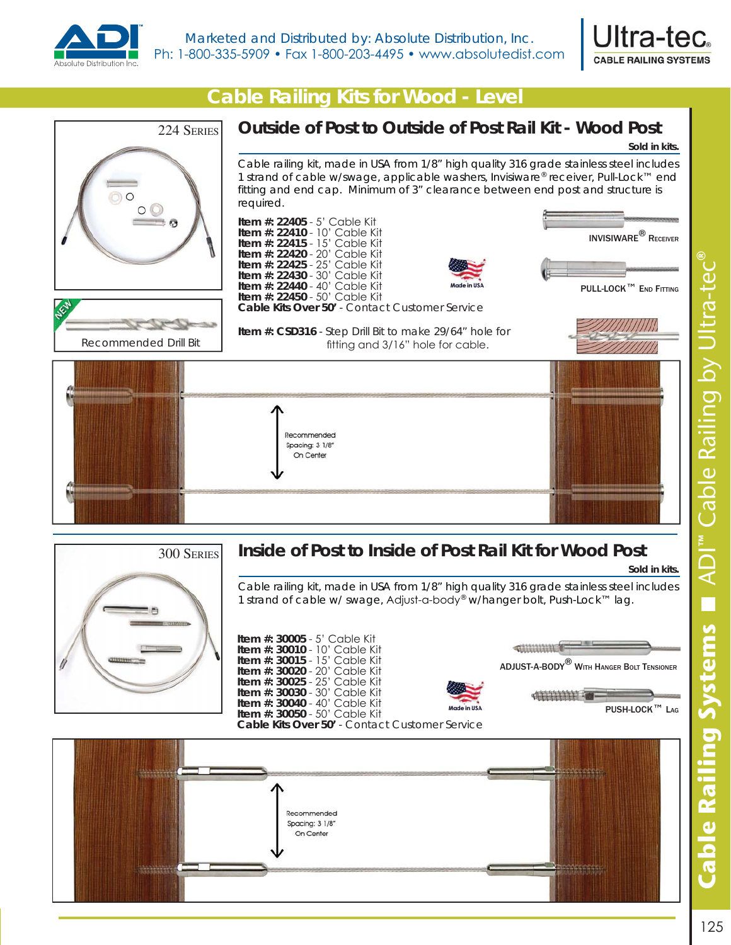



## *Cable Railing Kits for Wood - Level*











**Item #: 30040 - 40' Cable Kit Item #: 30050 - 50' Cable Kit**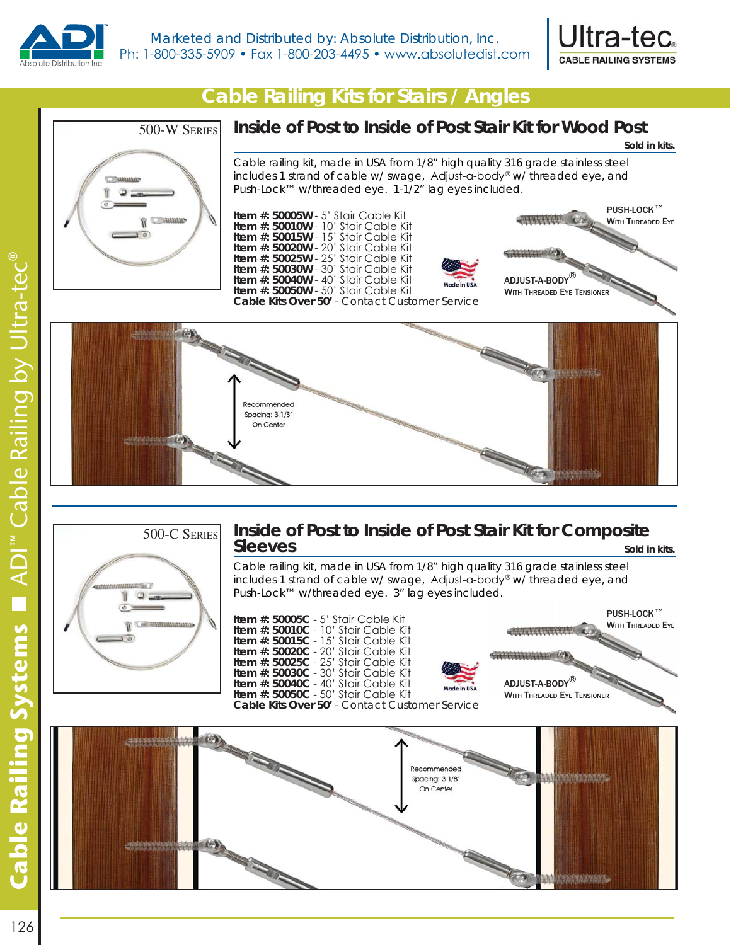



**Sold in kits.**

#### *Cable Railing Kits for Stairs / Angles*



#### **Inside of Post to Inside of Post Stair Kit for Wood Post**

Cable railing kit, made in USA from 1/8" high quality 316 grade stainless steel includes 1 strand of cable w/ swage, Adjust-a-body® w/ threaded eye, and Push-Lock™ w/threaded eye. 1-1/2" lag eyes included.







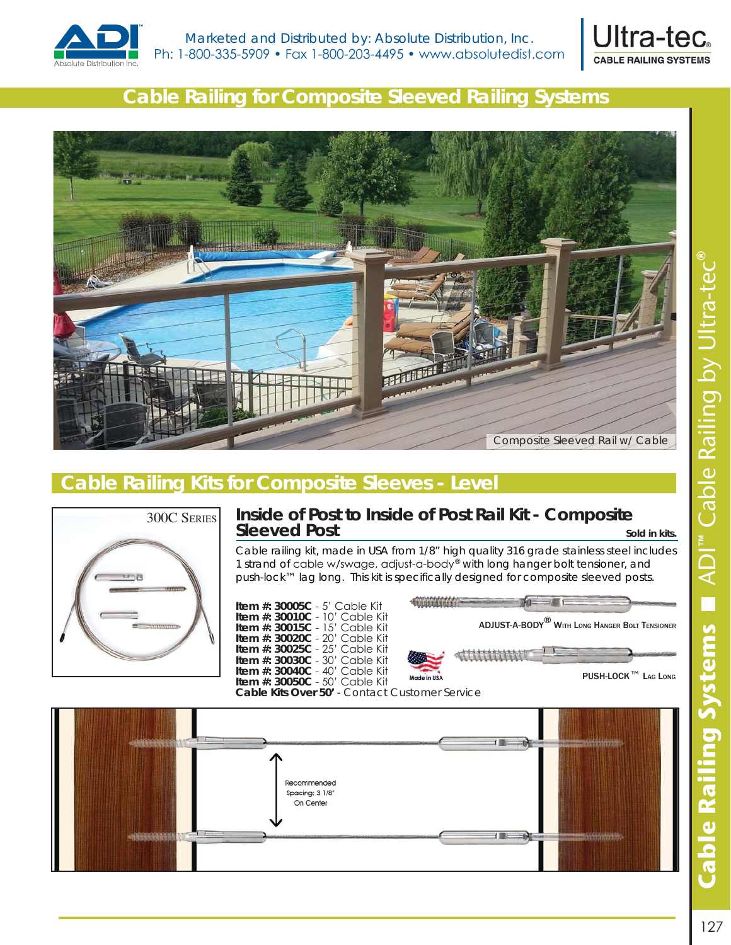



# *Cable Railing for Composite Sleeved Railing Systems*



# *Cable Railing Kits for Composite Sleeves - Level*



#### **Inside of Post to Inside of Post Rail Kit - Composite Sleeved Post Sleeved Post**

Cable railing kit, made in USA from 1/8" high quality 316 grade stainless steel includes 1 strand of cable w/swage, adjust-a-body® with long hanger bolt tensioner, and push-lock™ lag long. This kit is specifically designed for composite sleeved posts.

**Item #: 30005C - 5' Cable Kit Item #: 30010C - 10' Cable Kit Item #: 30015C - 15' Cable Kit Item #: 30020C** - 20' Cable Kit **Item #: 30025C - 25' Cable Kit Item #: 30030C - 30' Cable Kit Item #: 30040C - 40' Cable Kit Item #: 30050C - 50' Cable Kit Cable Kits Over 50'** - Contact Customer Service



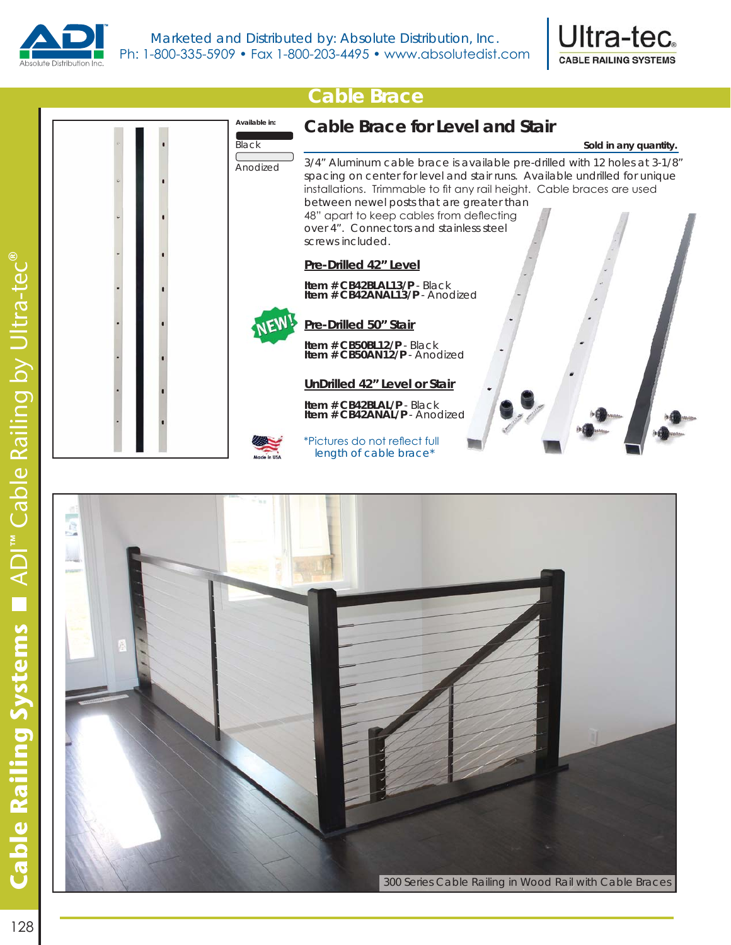





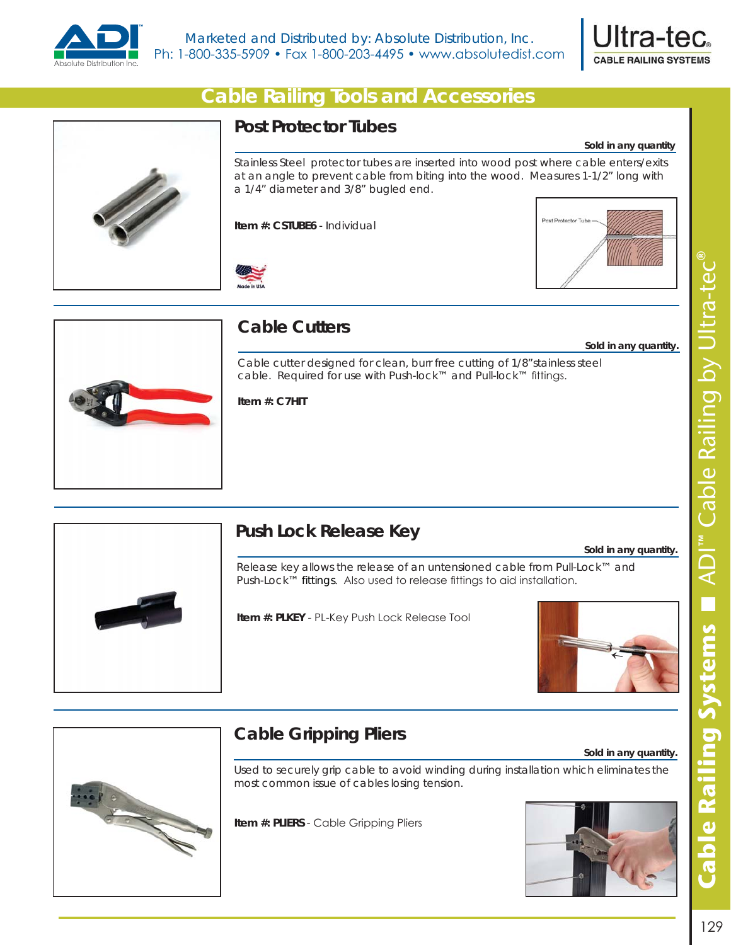



**Sold in any quantity**

#### *Cable Railing Tools and Accessories*



#### **Post Protector Tubes**

Stainless Steel protector tubes are inserted into wood post where cable enters/exits at an angle to prevent cable from biting into the wood. Measures 1-1/2" long with a 1/4" diameter and 3/8" bugled end.

**Item #: CSTUBE6** - Individual





#### **Cable Cutters**

Cable cutter designed for clean, burr free cutting of 1/8"stainless steel cable. Required for use with Push-lock™ and Pull-lock™ fittings.

#### **Item #: C7HIT**



### **Push Lock Release Key**

**Sold in any quantity.**

#### **Sold in any quantity.**

Release key allows the release of an untensioned cable from Pull-Lock™ and Push-Lock™ fittings. Also used to release fittings to aid installation.

**Item #: PLKEY - PL-Key Push Lock Release Tool** 



**Sold in any quantity.**



# **Cable Gripping Pliers**

Used to securely grip cable to avoid winding during installation which eliminates the most common issue of cables losing tension.

**Item #: PLIERS** - Cable Gripping Pliers

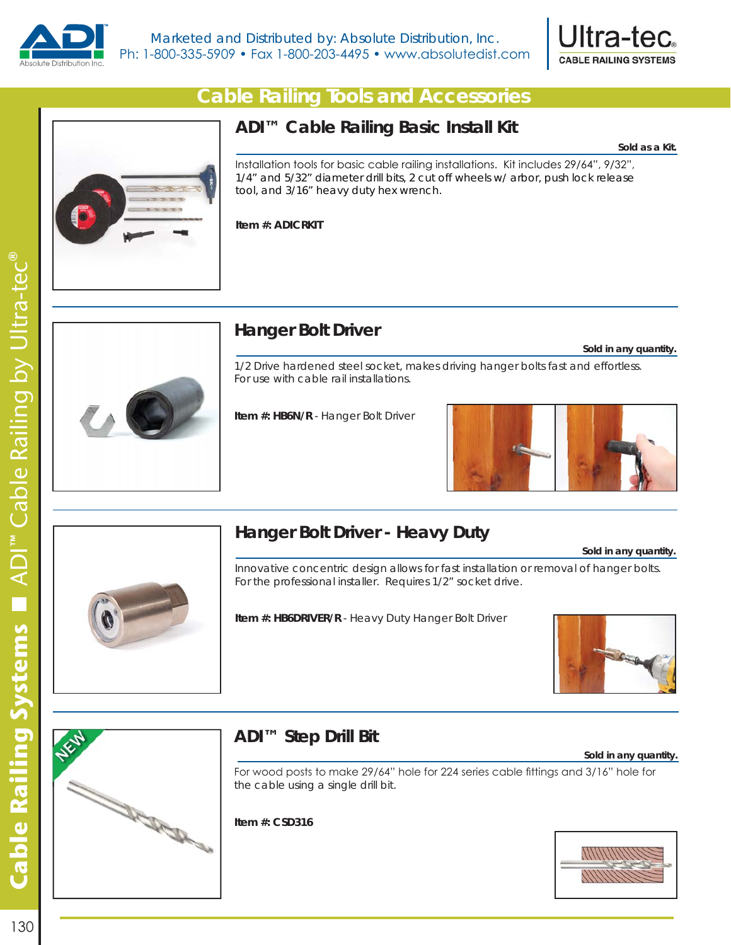



#### *Cable Railing Tools and Accessories*

#### **ADI™ Cable Railing Basic Install Kit**

**Sold as a Kit.**

Installation tools for basic cable railing installations. Kit includes 29/64", 9/32", 1/4" and 5/32" diameter drill bits, 2 cut off wheels w/ arbor, push lock release tool, and 3/16" heavy duty hex wrench.

**Item #: ADICRKIT** 



# **Hanger Bolt Driver**

**Sold in any quantity.**

1/2 Drive hardened steel socket, makes driving hanger bolts fast and effortless. For use with cable rail installations.

**Item #: HB6N/R** - Hanger Bolt Driver





# **Hanger Bolt Driver - Heavy Duty**

**Sold in any quantity.**

Innovative concentric design allows for fast installation or removal of hanger bolts. For the professional installer. Requires 1/2" socket drive.

#### **Item #: HB6DRIVER/R** - Heavy Duty Hanger Bolt Driver





### **ADI™ Step Drill Bit**

**Sold in any quantity.**

For wood posts to make 29/64" hole for 224 series cable fittings and 3/16" hole for the cable using a single drill bit.

**Item #: CSD316**